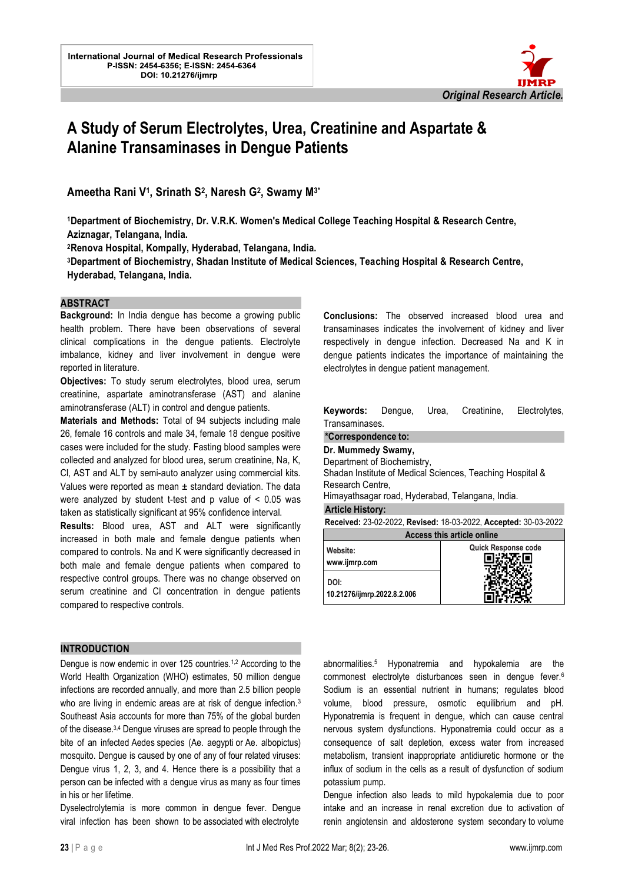

# **A Study of Serum Electrolytes, Urea, Creatinine and Aspartate & Alanine Transaminases in Dengue Patients**

l.

**Ameetha Rani V<sup>1</sup> , Srinath S<sup>2</sup> , Naresh G<sup>2</sup> , Swamy M3\***

**<sup>1</sup>Department of Biochemistry, Dr. V.R.K. Women's Medical College Teaching Hospital & Research Centre, Aziznagar, Telangana, India.**

**<sup>2</sup>Renova Hospital, Kompally, Hyderabad, Telangana, India.**

**<sup>3</sup>Department of Biochemistry, Shadan Institute of Medical Sciences, Teaching Hospital & Research Centre, Hyderabad, Telangana, India.**

#### **ABSTRACT**

**Background:** In India dengue has become a growing public health problem. There have been observations of several clinical complications in the dengue patients. Electrolyte imbalance, kidney and liver involvement in dengue were reported in literature.

**Objectives:** To study serum electrolytes, blood urea, serum creatinine, aspartate aminotransferase (AST) and alanine aminotransferase (ALT) in control and dengue patients.

**Materials and Methods:** Total of 94 subjects including male 26, female 16 controls and male 34, female 18 dengue positive cases were included for the study. Fasting blood samples were collected and analyzed for blood urea, serum creatinine, Na, K, Cl, AST and ALT by semi-auto analyzer using commercial kits. Values were reported as mean  $\pm$  standard deviation. The data were analyzed by student t-test and p value of < 0.05 was taken as statistically significant at 95% confidence interval.

**Results:** Blood urea, AST and ALT were significantly increased in both male and female dengue patients when compared to controls. Na and K were significantly decreased in both male and female dengue patients when compared to respective control groups. There was no change observed on serum creatinine and Cl concentration in dengue patients compared to respective controls.

# **INTRODUCTION**

Dengue is now endemic in over 125 countries.<sup>1,2</sup> According to the World Health Organization (WHO) estimates, 50 million dengue infections are recorded annually, and more than 2.5 billion people who are living in endemic areas are at risk of dengue infection.<sup>3</sup> Southeast Asia accounts for more than 75% of the global burden of the disease.3,4 Dengue viruses are spread to people through the bite of an infected Aedes species (Ae. aegypti or Ae. albopictus) mosquito. Dengue is caused by one of any of four related viruses: Dengue virus 1, 2, 3, and 4. Hence there is a possibility that a person can be infected with a dengue virus as many as four times in his or her lifetime.

Dyselectrolytemia is more common in dengue fever. Dengue viral infection has been shown to be associated with electrolyte

**Conclusions:** The observed increased blood urea and transaminases indicates the involvement of kidney and liver respectively in dengue infection. Decreased Na and K in dengue patients indicates the importance of maintaining the electrolytes in dengue patient management.

**Keywords:** Dengue, Urea, Creatinine, Electrolytes, Transaminases.

#### **\*Correspondence to:**

**Dr. Mummedy Swamy,**

Department of Biochemistry, Shadan Institute of Medical Sciences, Teaching Hospital & Research Centre,

Himayathsagar road, Hyderabad, Telangana, India.

## **Article History:**

**Received:** 23-02-2022, **Revised:** 18-03-2022, **Accepted:** 30-03-2022

| <b>Access this article online</b>   |                            |  |  |  |
|-------------------------------------|----------------------------|--|--|--|
| Website:<br>www.ijmrp.com           | <b>Quick Response code</b> |  |  |  |
| DOI:<br>10.21276/ijmrp.2022.8.2.006 |                            |  |  |  |

abnormalities.<sup>5</sup> Hyponatremia and hypokalemia are the commonest electrolyte disturbances seen in dengue fever.<sup>6</sup> Sodium is an essential nutrient in humans; regulates blood volume, blood pressure, osmotic equilibrium and pH. Hyponatremia is frequent in dengue, which can cause central nervous system dysfunctions. Hyponatremia could occur as a consequence of salt depletion, excess water from increased metabolism, transient inappropriate antidiuretic hormone or the influx of sodium in the cells as a result of dysfunction of sodium potassium pump.

Dengue infection also leads to mild hypokalemia due to poor intake and an increase in renal excretion due to activation of renin angiotensin and aldosterone system secondary to volume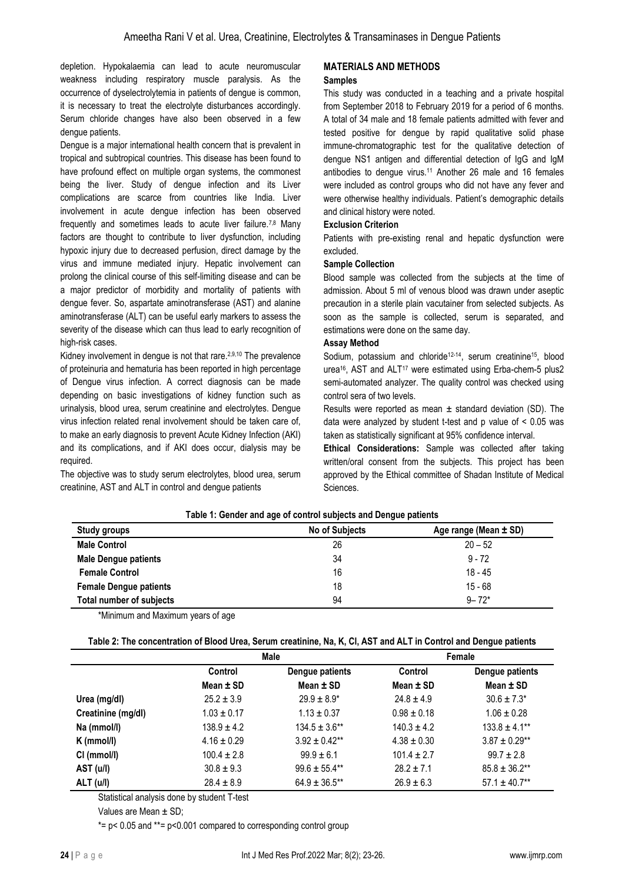depletion. Hypokalaemia can lead to acute neuromuscular weakness including respiratory muscle paralysis. As the occurrence of dyselectrolytemia in patients of dengue is common, it is necessary to treat the electrolyte disturbances accordingly. Serum chloride changes have also been observed in a few dengue patients.

Dengue is a major international health concern that is prevalent in tropical and subtropical countries. This disease has been found to have profound effect on multiple organ systems, the commonest being the liver. Study of dengue infection and its Liver complications are scarce from countries like India. Liver involvement in acute dengue infection has been observed frequently and sometimes leads to acute liver failure.<sup>7,8</sup> Many factors are thought to contribute to liver dysfunction, including hypoxic injury due to decreased perfusion, direct damage by the virus and immune mediated injury. Hepatic involvement can prolong the clinical course of this self-limiting disease and can be a major predictor of morbidity and mortality of patients with dengue fever. So, aspartate aminotransferase (AST) and alanine aminotransferase (ALT) can be useful early markers to assess the severity of the disease which can thus lead to early recognition of high-risk cases.

Kidney involvement in dengue is not that rare.<sup>2,9,10</sup> The prevalence of proteinuria and hematuria has been reported in high percentage of Dengue virus infection. A correct diagnosis can be made depending on basic investigations of kidney function such as urinalysis, blood urea, serum creatinine and electrolytes. Dengue virus infection related renal involvement should be taken care of, to make an early diagnosis to prevent Acute Kidney Infection (AKI) and its complications, and if AKI does occur, dialysis may be required.

The objective was to study serum electrolytes, blood urea, serum creatinine, AST and ALT in control and dengue patients

# **MATERIALS AND METHODS**

#### **Samples**

This study was conducted in a teaching and a private hospital from September 2018 to February 2019 for a period of 6 months. A total of 34 male and 18 female patients admitted with fever and tested positive for dengue by rapid qualitative solid phase immune-chromatographic test for the qualitative detection of dengue NS1 antigen and differential detection of IgG and IgM antibodies to dengue virus.<sup>11</sup> Another 26 male and 16 females were included as control groups who did not have any fever and were otherwise healthy individuals. Patient's demographic details and clinical history were noted.

### **Exclusion Criterion**

Patients with pre-existing renal and hepatic dysfunction were excluded.

### **Sample Collection**

Blood sample was collected from the subjects at the time of admission. About 5 ml of venous blood was drawn under aseptic precaution in a sterile plain vacutainer from selected subjects. As soon as the sample is collected, serum is separated, and estimations were done on the same day.

### **Assay Method**

Sodium, potassium and chloride<sup>12-14</sup>, serum creatinine<sup>15</sup>, blood urea<sup>16</sup>, AST and ALT<sup>17</sup> were estimated using Erba-chem-5 plus2 semi-automated analyzer. The quality control was checked using control sera of two levels.

Results were reported as mean  $\pm$  standard deviation (SD). The data were analyzed by student t-test and p value of < 0.05 was taken as statistically significant at 95% confidence interval.

**Ethical Considerations:** Sample was collected after taking written/oral consent from the subjects. This project has been approved by the Ethical committee of Shadan Institute of Medical Sciences.

| <b>Study groups</b>           | <b>No of Subjects</b> | Age range (Mean ± SD) |
|-------------------------------|-----------------------|-----------------------|
| <b>Male Control</b>           | 26                    | $20 - 52$             |
| <b>Male Dengue patients</b>   | 34                    | $9 - 72$              |
| <b>Female Control</b>         | 16                    | $18 - 45$             |
| <b>Female Dengue patients</b> | 18                    | $15 - 68$             |
| Total number of subjects      | 94                    | $9 - 72*$             |

### **Table 1: Gender and age of control subjects and Dengue patients**

\*Minimum and Maximum years of age

**Table 2: The concentration of Blood Urea, Serum creatinine, Na, K, Cl, AST and ALT in Control and Dengue patients**

|                    | Male            |                    | Female          |                    |
|--------------------|-----------------|--------------------|-----------------|--------------------|
|                    | Control         | Dengue patients    | Control         | Dengue patients    |
|                    | Mean $\pm$ SD   | Mean $\pm$ SD      | Mean $\pm$ SD   | Mean $\pm$ SD      |
| Urea (mg/dl)       | $25.2 \pm 3.9$  | $29.9 \pm 8.9^*$   | $24.8 \pm 4.9$  | $30.6 \pm 7.3*$    |
| Creatinine (mg/dl) | $1.03 \pm 0.17$ | $1.13 \pm 0.37$    | $0.98 \pm 0.18$ | $1.06 \pm 0.28$    |
| Na (mmol/l)        | $138.9 \pm 4.2$ | $134.5 \pm 3.6**$  | $140.3 \pm 4.2$ | $133.8 \pm 4.1**$  |
| $K$ (mmol/l)       | $4.16 \pm 0.29$ | $3.92 \pm 0.42$ ** | $4.38 \pm 0.30$ | $3.87 \pm 0.29**$  |
| CI (mmol/l)        | $100.4 \pm 2.8$ | $99.9 \pm 6.1$     | $101.4 \pm 2.7$ | $99.7 \pm 2.8$     |
| AST (u/l)          | $30.8 \pm 9.3$  | $99.6 \pm 55.4$ ** | $28.2 \pm 7.1$  | $85.8 \pm 36.2$ ** |
| ALT (u/l)          | $28.4 \pm 8.9$  | $64.9 \pm 36.5$ ** | $26.9 \pm 6.3$  | $57.1 \pm 40.7**$  |

Statistical analysis done by student T-test

Values are Mean  $\pm$  SD;

 $*= p < 0.05$  and  $* = p < 0.001$  compared to corresponding control group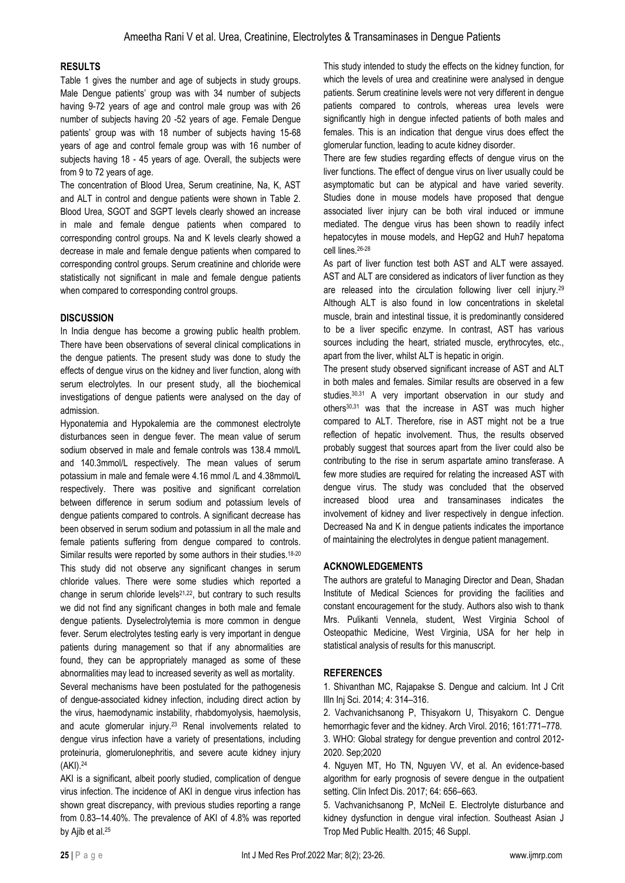## **RESULTS**

Table 1 gives the number and age of subjects in study groups. Male Dengue patients' group was with 34 number of subjects having 9-72 years of age and control male group was with 26 number of subjects having 20 -52 years of age. Female Dengue patients' group was with 18 number of subjects having 15-68 years of age and control female group was with 16 number of subjects having 18 - 45 years of age. Overall, the subjects were from 9 to 72 years of age.

The concentration of Blood Urea, Serum creatinine, Na, K, AST and ALT in control and dengue patients were shown in Table 2. Blood Urea, SGOT and SGPT levels clearly showed an increase in male and female dengue patients when compared to corresponding control groups. Na and K levels clearly showed a decrease in male and female dengue patients when compared to corresponding control groups. Serum creatinine and chloride were statistically not significant in male and female dengue patients when compared to corresponding control groups.

# **DISCUSSION**

In India dengue has become a growing public health problem. There have been observations of several clinical complications in the dengue patients. The present study was done to study the effects of dengue virus on the kidney and liver function, along with serum electrolytes. In our present study, all the biochemical investigations of dengue patients were analysed on the day of admission.

Hyponatemia and Hypokalemia are the commonest electrolyte disturbances seen in dengue fever. The mean value of serum sodium observed in male and female controls was 138.4 mmol/L and 140.3mmol/L respectively. The mean values of serum potassium in male and female were 4.16 mmol /L and 4.38mmol/L respectively. There was positive and significant correlation between difference in serum sodium and potassium levels of dengue patients compared to controls. A significant decrease has been observed in serum sodium and potassium in all the male and female patients suffering from dengue compared to controls. Similar results were reported by some authors in their studies.<sup>18-20</sup> This study did not observe any significant changes in serum chloride values. There were some studies which reported a change in serum chloride levels<sup>21,22</sup>, but contrary to such results we did not find any significant changes in both male and female dengue patients. Dyselectrolytemia is more common in dengue fever. Serum electrolytes testing early is very important in dengue patients during management so that if any abnormalities are found, they can be appropriately managed as some of these abnormalities may lead to increased severity as well as mortality.

Several mechanisms have been postulated for the pathogenesis of dengue-associated kidney infection, including direct action by the virus, haemodynamic instability, rhabdomyolysis, haemolysis, and acute glomerular injury.<sup>23</sup> Renal involvements related to dengue virus infection have a variety of presentations, including proteinuria, glomerulonephritis, and severe acute kidney injury (AKI).<sup>24</sup>

AKI is a significant, albeit poorly studied, complication of dengue virus infection. The incidence of AKI in dengue virus infection has shown great discrepancy, with previous studies reporting a range from 0.83–14.40%. The prevalence of AKI of 4.8% was reported by Ajib et al.<sup>25</sup>

This study intended to study the effects on the kidney function, for which the levels of urea and creatinine were analysed in dengue patients. Serum creatinine levels were not very different in dengue patients compared to controls, whereas urea levels were significantly high in dengue infected patients of both males and females. This is an indication that dengue virus does effect the glomerular function, leading to acute kidney disorder.

There are few studies regarding effects of dengue virus on the liver functions. The effect of dengue virus on liver usually could be asymptomatic but can be atypical and have varied severity. Studies done in mouse models have proposed that dengue associated liver injury can be both viral induced or immune mediated. The dengue virus has been shown to readily infect hepatocytes in mouse models, and HepG2 and Huh7 hepatoma cell lines.26-28

As part of liver function test both AST and ALT were assayed. AST and ALT are considered as indicators of liver function as they are released into the circulation following liver cell injury.<sup>29</sup> Although ALT is also found in low concentrations in skeletal muscle, brain and intestinal tissue, it is predominantly considered to be a liver specific enzyme. In contrast, AST has various sources including the heart, striated muscle, erythrocytes, etc., apart from the liver, whilst ALT is hepatic in origin.

The present study observed significant increase of AST and ALT in both males and females. Similar results are observed in a few studies.30,31 A very important observation in our study and others30,31 was that the increase in AST was much higher compared to ALT. Therefore, rise in AST might not be a true reflection of hepatic involvement. Thus, the results observed probably suggest that sources apart from the liver could also be contributing to the rise in serum aspartate amino transferase. A few more studies are required for relating the increased AST with dengue virus. The study was concluded that the observed increased blood urea and transaminases indicates the involvement of kidney and liver respectively in dengue infection. Decreased Na and K in dengue patients indicates the importance of maintaining the electrolytes in dengue patient management.

# **ACKNOWLEDGEMENTS**

The authors are grateful to Managing Director and Dean, Shadan Institute of Medical Sciences for providing the facilities and constant encouragement for the study. Authors also wish to thank Mrs. Pulikanti Vennela, student, West Virginia School of Osteopathic Medicine, West Virginia, USA for her help in statistical analysis of results for this manuscript.

# **REFERENCES**

1. Shivanthan MC, Rajapakse S. Dengue and calcium. Int J Crit Illn Inj Sci. 2014; 4: 314–316.

2. Vachvanichsanong P, Thisyakorn U, Thisyakorn C. Dengue hemorrhagic fever and the kidney. Arch Virol. 2016; 161:771–778.

3. WHO: Global strategy for dengue prevention and control 2012- 2020. Sep;2020

4. Nguyen MT, Ho TN, Nguyen VV, et al. An evidence-based algorithm for early prognosis of severe dengue in the outpatient setting. Clin Infect Dis. 2017; 64: 656–663.

5. Vachvanichsanong P, McNeil E. Electrolyte disturbance and kidney dysfunction in dengue viral infection. Southeast Asian J Trop Med Public Health. 2015; 46 Suppl.